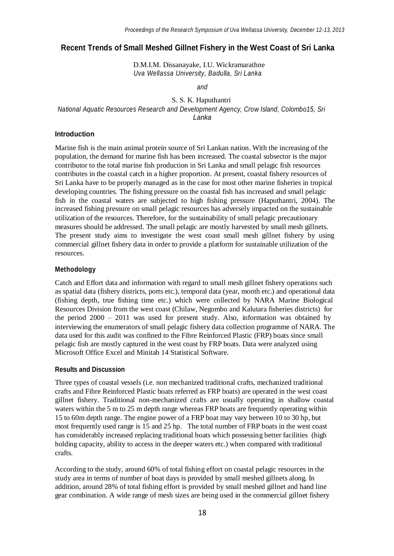# **Recent Trends of Small Meshed Gillnet Fishery in the West Coast of Sri Lanka**

D.M.I.M. Dissanayake, I.U. Wickramarathne *Uva Wellassa University, Badulla, Sri Lanka*

*and*

### S. S. K. Haputhantri *National Aquatic Resources Research and Development Agency, Crow Island, Colombo15, Sri Lanka*

#### **Introduction**

Marine fish is the main animal protein source of Sri Lankan nation. With the increasing of the population, the demand for marine fish has been increased. The coastal subsector is the major contributor to the total marine fish production in Sri Lanka and small pelagic fish resources contributes in the coastal catch in a higher proportion. At present, coastal fishery resources of Sri Lanka have to be properly managed as in the case for most other marine fisheries in tropical developing countries. The fishing pressure on the coastal fish has increased and small pelagic fish in the coastal waters are subjected to high fishing pressure (Haputhantri, 2004). The increased fishing pressure on small pelagic resources has adversely impacted on the sustainable utilization of the resources. Therefore, for the sustainability of small pelagic precautionary measures should be addressed. The small pelagic are mostly harvested by small mesh gillnets. The present study aims to investigate the west coast small mesh gillnet fishery by using commercial gillnet fishery data in order to provide a platform for sustainable utilization of the resources.

# **Methodology**

Catch and Effort data and information with regard to small mesh gillnet fishery operations such as spatial data (fishery districts, ports etc.), temporal data (year, month etc.) and operational data (fishing depth, true fishing time etc.) which were collected by NARA Marine Biological Resources Division from the west coast (Chilaw, Negombo and Kalutara fisheries districts) for the period 2000 – 2011 was used for present study. Also, information was obtained by interviewing the enumerators of small pelagic fishery data collection programme of NARA. The data used for this audit was confined to the Fibre Reinforced Plastic (FRP) boats since small pelagic fish are mostly captured in the west coast by FRP boats. Data were analyzed using Microsoft Office Excel and Minitab 14 Statistical Software.

#### **Results and Discussion**

Three types of coastal vessels (i.e. non mechanized traditional crafts, mechanized traditional crafts and Fibre Reinforced Plastic boats referred as FRP boats) are operated in the west coast gillnet fishery. Traditional non-mechanized crafts are usually operating in shallow coastal waters within the 5 m to 25 m depth range whereas FRP boats are frequently operating within 15 to 60m depth range. The engine power of a FRP boat may vary between 10 to 30 hp, but most frequently used range is 15 and 25 hp. The total number of FRP boats in the west coast has considerably increased replacing traditional boats which possessing better facilities (high holding capacity, ability to access in the deeper waters etc.) when compared with traditional crafts.

According to the study, around 60% of total fishing effort on coastal pelagic resources in the study area in terms of number of boat days is provided by small meshed gillnets along. In addition, around 28% of total fishing effort is provided by small meshed gillnet and hand line gear combination. A wide range of mesh sizes are being used in the commercial gillnet fishery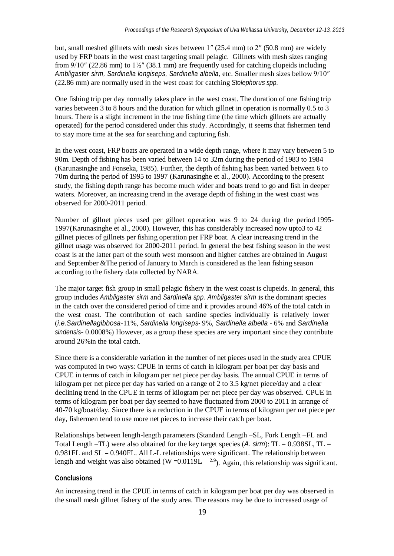but, small meshed gillnets with mesh sizes between 1″ (25.4 mm) to 2″ (50.8 mm) are widely used by FRP boats in the west coast targeting small pelagic. Gillnets with mesh sizes ranging from 9/10″ (22.86 mm) to 1½″ (38.1 mm) are frequently used for catching clupeids including *Ambligaster sirm, Sardinella longiseps, Sardinella albella,* etc. Smaller mesh sizes bellow 9/10″ (22.86 mm) are normally used in the west coast for catching *Stolephorus spp.*

One fishing trip per day normally takes place in the west coast. The duration of one fishing trip varies between 3 to 8 hours and the duration for which gillnet in operation is normally 0.5 to 3 hours. There is a slight increment in the true fishing time (the time which gillnets are actually operated) for the period considered under this study. Accordingly, it seems that fishermen tend to stay more time at the sea for searching and capturing fish.

In the west coast, FRP boats are operated in a wide depth range, where it may vary between 5 to 90m. Depth of fishing has been varied between 14 to 32m during the period of 1983 to 1984 (Karunasinghe and Fonseka, 1985). Further, the depth of fishing has been varied between 6 to 70m during the period of 1995 to 1997 (Karunasinghe et al., 2000). According to the present study, the fishing depth range has become much wider and boats trend to go and fish in deeper waters. Moreover, an increasing trend in the average depth of fishing in the west coast was observed for 2000-2011 period.

Number of gillnet pieces used per gillnet operation was 9 to 24 during the period 1995- 1997(Karunasinghe et al., 2000). However, this has considerably increased now upto3 to 42 gillnet pieces of gillnets per fishing operation per FRP boat. A clear increasing trend in the gillnet usage was observed for 2000-2011 period. In general the best fishing season in the west coast is at the latter part of the south west monsoon and higher catches are obtained in August and September &The period of January to March is considered as the lean fishing season according to the fishery data collected by NARA.

The major target fish group in small pelagic fishery in the west coast is clupeids. In general, this group includes *Ambligaster sirm* and *Sardinella spp. Ambligaster sirm* is the dominant species in the catch over the considered period of time and it provides around 46% of the total catch in the west coast. The contribution of each sardine species individually is relatively lower (*i.e.Sardinellagibbosa*-11%, *Sardinella longiseps-* 9%, *Sardinella albella* - 6% and *Sardinella sindensis*- 0.0008%) However, as a group these species are very important since they contribute around 26%in the total catch.

Since there is a considerable variation in the number of net pieces used in the study area CPUE was computed in two ways: CPUE in terms of catch in kilogram per boat per day basis and CPUE in terms of catch in kilogram per net piece per day basis. The annual CPUE in terms of kilogram per net piece per day has varied on a range of 2 to 3.5 kg/net piece/day and a clear declining trend in the CPUE in terms of kilogram per net piece per day was observed. CPUE in terms of kilogram per boat per day seemed to have fluctuated from 2000 to 2011 in arrange of 40-70 kg/boat/day. Since there is a reduction in the CPUE in terms of kilogram per net piece per day, fishermen tend to use more net pieces to increase their catch per boat.

length and weight was also obtained (W = 0.0119L  $^{2.9}$ ). Again, this relationship was significant. Relationships between length-length parameters (Standard Length –SL, Fork Length –FL and Total Length –TL) were also obtained for the key target species  $(A. sim)$ : TL = 0.938SL, TL =  $0.981$ FL and SL =  $0.940$ FL. All L-L relationships were significant. The relationship between

#### **Conclusions**

An increasing trend in the CPUE in terms of catch in kilogram per boat per day was observed in the small mesh gillnet fishery of the study area. The reasons may be due to increased usage of